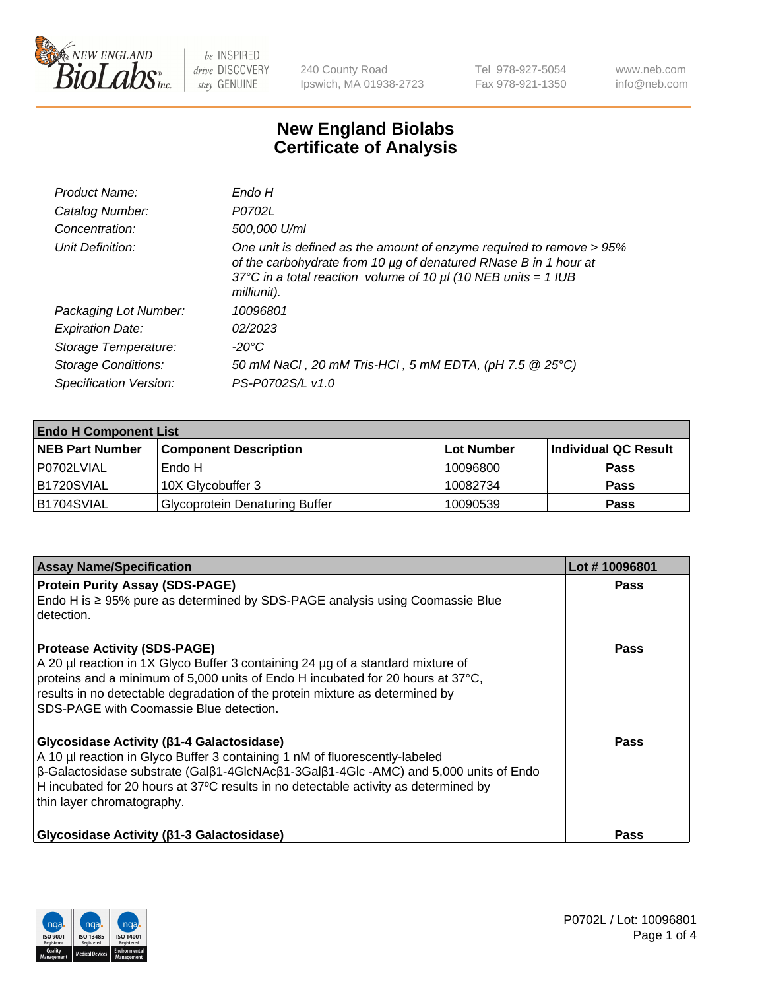

240 County Road Ipswich, MA 01938-2723 Tel 978-927-5054 Fax 978-921-1350 www.neb.com info@neb.com

## **New England Biolabs Certificate of Analysis**

| Endo H                                                                                                                                                                                                                         |
|--------------------------------------------------------------------------------------------------------------------------------------------------------------------------------------------------------------------------------|
| P0702L                                                                                                                                                                                                                         |
| 500,000 U/ml                                                                                                                                                                                                                   |
| One unit is defined as the amount of enzyme required to remove > 95%<br>of the carbohydrate from 10 µg of denatured RNase B in 1 hour at<br>37°C in a total reaction volume of 10 $\mu$ I (10 NEB units = 1 IUB<br>milliunit). |
| 10096801                                                                                                                                                                                                                       |
| 02/2023                                                                                                                                                                                                                        |
| -20°C                                                                                                                                                                                                                          |
| 50 mM NaCl, 20 mM Tris-HCl, 5 mM EDTA, (pH 7.5 @ 25°C)                                                                                                                                                                         |
| PS-P0702S/L v1.0                                                                                                                                                                                                               |
|                                                                                                                                                                                                                                |

| <b>Endo H Component List</b> |                                       |             |                      |  |  |
|------------------------------|---------------------------------------|-------------|----------------------|--|--|
| <b>NEB Part Number</b>       | <b>Component Description</b>          | ∣Lot Number | Individual QC Result |  |  |
| P0702LVIAL                   | Endo H                                | 10096800    | <b>Pass</b>          |  |  |
| <b>B1720SVIAL</b>            | 10X Glycobuffer 3                     | 10082734    | <b>Pass</b>          |  |  |
| B1704SVIAL                   | <b>Glycoprotein Denaturing Buffer</b> | 10090539    | <b>Pass</b>          |  |  |

| <b>Assay Name/Specification</b>                                                                                                                                                                                                                                                                                                                                             | Lot #10096801 |
|-----------------------------------------------------------------------------------------------------------------------------------------------------------------------------------------------------------------------------------------------------------------------------------------------------------------------------------------------------------------------------|---------------|
| <b>Protein Purity Assay (SDS-PAGE)</b><br>Endo H is $\geq$ 95% pure as determined by SDS-PAGE analysis using Coomassie Blue<br>detection.                                                                                                                                                                                                                                   | <b>Pass</b>   |
| <b>Protease Activity (SDS-PAGE)</b><br>A 20 µl reaction in 1X Glyco Buffer 3 containing 24 µg of a standard mixture of<br>proteins and a minimum of 5,000 units of Endo H incubated for 20 hours at 37°C,<br>results in no detectable degradation of the protein mixture as determined by<br>SDS-PAGE with Coomassie Blue detection.                                        | <b>Pass</b>   |
| <b>Glycosidase Activity (β1-4 Galactosidase)</b><br>A 10 µl reaction in Glyco Buffer 3 containing 1 nM of fluorescently-labeled<br>$\beta$ -Galactosidase substrate (Gal $\beta$ 1-4GlcNAc $\beta$ 1-3Gal $\beta$ 1-4Glc -AMC) and 5,000 units of Endo<br>H incubated for 20 hours at 37°C results in no detectable activity as determined by<br>thin layer chromatography. | <b>Pass</b>   |
| <b>Glycosidase Activity (β1-3 Galactosidase)</b>                                                                                                                                                                                                                                                                                                                            | Pass          |

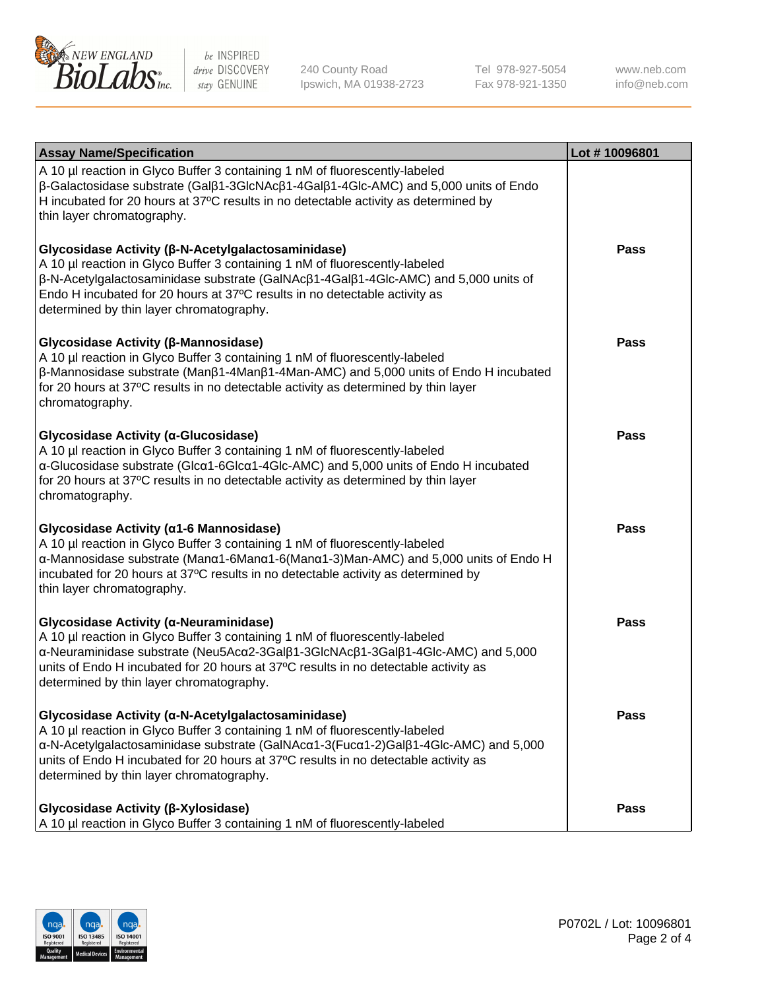

240 County Road Ipswich, MA 01938-2723 Tel 978-927-5054 Fax 978-921-1350 www.neb.com info@neb.com

| <b>Assay Name/Specification</b>                                                                                                                                                                                                                                                                                                                             | Lot #10096801 |
|-------------------------------------------------------------------------------------------------------------------------------------------------------------------------------------------------------------------------------------------------------------------------------------------------------------------------------------------------------------|---------------|
| A 10 µl reaction in Glyco Buffer 3 containing 1 nM of fluorescently-labeled<br>$\beta$ -Galactosidase substrate (Gal $\beta$ 1-3GlcNAc $\beta$ 1-4Gal $\beta$ 1-4Glc-AMC) and 5,000 units of Endo<br>H incubated for 20 hours at 37°C results in no detectable activity as determined by<br>thin layer chromatography.                                      |               |
| Glycosidase Activity (β-N-Acetylgalactosaminidase)<br>A 10 µl reaction in Glyco Buffer 3 containing 1 nM of fluorescently-labeled<br>β-N-Acetylgalactosaminidase substrate (GalNAcβ1-4Galβ1-4Glc-AMC) and 5,000 units of<br>Endo H incubated for 20 hours at 37°C results in no detectable activity as<br>determined by thin layer chromatography.          | <b>Pass</b>   |
| Glycosidase Activity (β-Mannosidase)<br>A 10 µl reaction in Glyco Buffer 3 containing 1 nM of fluorescently-labeled<br>$\beta$ -Mannosidase substrate (Man $\beta$ 1-4Man $\beta$ 1-4Man-AMC) and 5,000 units of Endo H incubated<br>for 20 hours at 37°C results in no detectable activity as determined by thin layer<br>chromatography.                  | <b>Pass</b>   |
| Glycosidase Activity (α-Glucosidase)<br>A 10 µl reaction in Glyco Buffer 3 containing 1 nM of fluorescently-labeled<br>α-Glucosidase substrate (Glcα1-6Glcα1-4Glc-AMC) and 5,000 units of Endo H incubated<br>for 20 hours at 37°C results in no detectable activity as determined by thin layer<br>chromatography.                                         | <b>Pass</b>   |
| Glycosidase Activity (α1-6 Mannosidase)<br>A 10 µl reaction in Glyco Buffer 3 containing 1 nM of fluorescently-labeled<br>α-Mannosidase substrate (Μanα1-6Μanα1-6(Μanα1-3)Man-AMC) and 5,000 units of Endo H<br>incubated for 20 hours at 37°C results in no detectable activity as determined by<br>thin layer chromatography.                             | <b>Pass</b>   |
| Glycosidase Activity (α-Neuraminidase)<br>A 10 µl reaction in Glyco Buffer 3 containing 1 nM of fluorescently-labeled<br>α-Neuraminidase substrate (Neu5Acα2-3Galβ1-3GlcNAcβ1-3Galβ1-4Glc-AMC) and 5,000<br>units of Endo H incubated for 20 hours at 37°C results in no detectable activity as<br>determined by thin layer chromatography.                 | Pass          |
| Glycosidase Activity (α-N-Acetylgalactosaminidase)<br>A 10 µl reaction in Glyco Buffer 3 containing 1 nM of fluorescently-labeled<br>α-N-Acetylgalactosaminidase substrate (GalNAcα1-3(Fucα1-2)Galβ1-4Glc-AMC) and 5,000<br>units of Endo H incubated for 20 hours at 37°C results in no detectable activity as<br>determined by thin layer chromatography. | <b>Pass</b>   |
| Glycosidase Activity (β-Xylosidase)<br>A 10 µl reaction in Glyco Buffer 3 containing 1 nM of fluorescently-labeled                                                                                                                                                                                                                                          | <b>Pass</b>   |

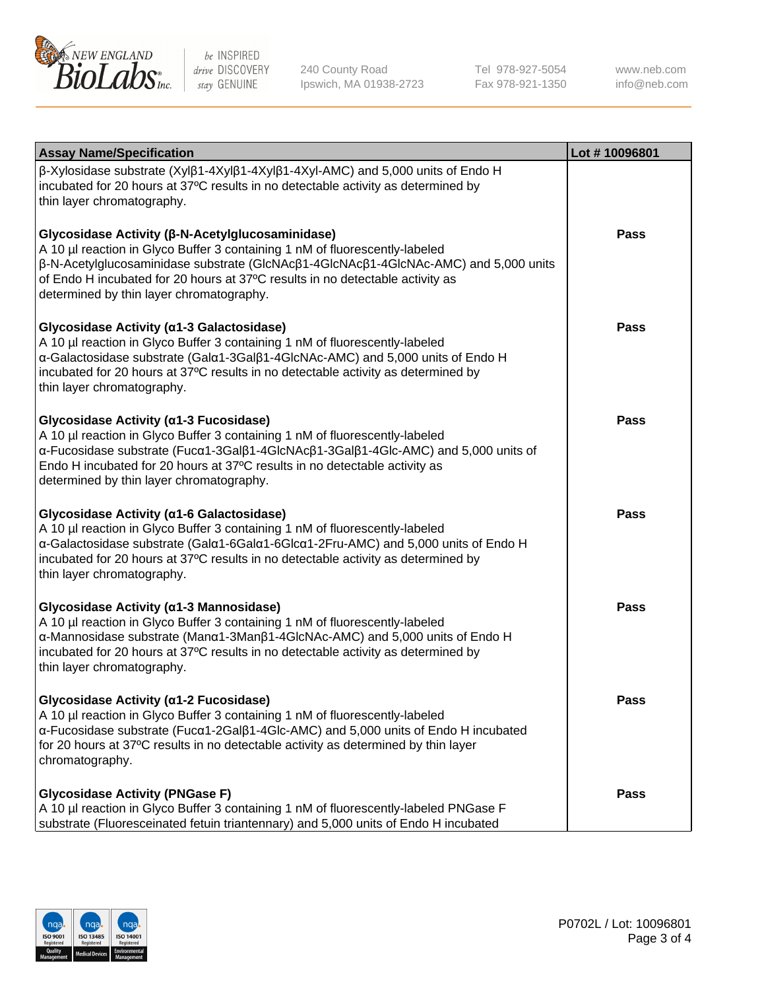

240 County Road Ipswich, MA 01938-2723 Tel 978-927-5054 Fax 978-921-1350 www.neb.com info@neb.com

| <b>Assay Name/Specification</b>                                                                                                                                                                                                                                                                                                                      | Lot #10096801 |
|------------------------------------------------------------------------------------------------------------------------------------------------------------------------------------------------------------------------------------------------------------------------------------------------------------------------------------------------------|---------------|
| $\beta$ -Xylosidase substrate (Xyl $\beta$ 1-4Xyl $\beta$ 1-4Xyl $\beta$ 1-4Xyl-AMC) and 5,000 units of Endo H<br>incubated for 20 hours at 37°C results in no detectable activity as determined by<br>thin layer chromatography.                                                                                                                    |               |
| Glycosidase Activity (β-N-Acetylglucosaminidase)<br>A 10 µl reaction in Glyco Buffer 3 containing 1 nM of fluorescently-labeled<br>β-N-Acetylglucosaminidase substrate (GlcNAcβ1-4GlcNAcβ1-4GlcNAc-AMC) and 5,000 units<br>of Endo H incubated for 20 hours at 37°C results in no detectable activity as<br>determined by thin layer chromatography. | Pass          |
| Glycosidase Activity (α1-3 Galactosidase)<br>A 10 µl reaction in Glyco Buffer 3 containing 1 nM of fluorescently-labeled<br>α-Galactosidase substrate (Galα1-3Galβ1-4GlcNAc-AMC) and 5,000 units of Endo H<br>incubated for 20 hours at 37°C results in no detectable activity as determined by<br>thin layer chromatography.                        | <b>Pass</b>   |
| Glycosidase Activity (α1-3 Fucosidase)<br>A 10 µl reaction in Glyco Buffer 3 containing 1 nM of fluorescently-labeled<br>α-Fucosidase substrate (Fucα1-3Galβ1-4GlcNAcβ1-3Galβ1-4Glc-AMC) and 5,000 units of<br>Endo H incubated for 20 hours at 37°C results in no detectable activity as<br>determined by thin layer chromatography.                | Pass          |
| Glycosidase Activity (a1-6 Galactosidase)<br>A 10 µl reaction in Glyco Buffer 3 containing 1 nM of fluorescently-labeled<br>α-Galactosidase substrate (Galα1-6Galα1-6Glcα1-2Fru-AMC) and 5,000 units of Endo H<br>incubated for 20 hours at 37°C results in no detectable activity as determined by<br>thin layer chromatography.                    | Pass          |
| Glycosidase Activity (α1-3 Mannosidase)<br>A 10 µl reaction in Glyco Buffer 3 containing 1 nM of fluorescently-labeled<br>α-Mannosidase substrate (Manα1-3Manβ1-4GlcNAc-AMC) and 5,000 units of Endo H<br>incubated for 20 hours at 37°C results in no detectable activity as determined by<br>thin layer chromatography.                            | <b>Pass</b>   |
| Glycosidase Activity (α1-2 Fucosidase)<br>A 10 µl reaction in Glyco Buffer 3 containing 1 nM of fluorescently-labeled<br>$\alpha$ -Fucosidase substrate (Fuc $\alpha$ 1-2Gal $\beta$ 1-4Glc-AMC) and 5,000 units of Endo H incubated<br>for 20 hours at 37°C results in no detectable activity as determined by thin layer<br>chromatography.        | Pass          |
| <b>Glycosidase Activity (PNGase F)</b><br>A 10 µl reaction in Glyco Buffer 3 containing 1 nM of fluorescently-labeled PNGase F<br>substrate (Fluoresceinated fetuin triantennary) and 5,000 units of Endo H incubated                                                                                                                                | Pass          |